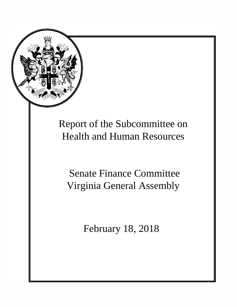

# Report of the Subcommittee on Health and Human Resources

Senate Finance Committee Virginia General Assembly

February 18, 2018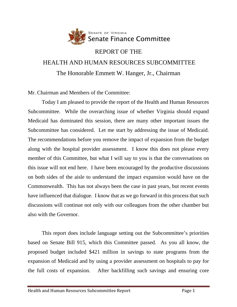

# REPORT OF THE HEALTH AND HUMAN RESOURCES SUBCOMMITTEE The Honorable Emmett W. Hanger, Jr., Chairman

Mr. Chairman and Members of the Committee:

Today I am pleased to provide the report of the Health and Human Resources Subcommittee. While the overarching issue of whether Virginia should expand Medicaid has dominated this session, there are many other important issues the Subcommittee has considered. Let me start by addressing the issue of Medicaid. The recommendations before you remove the impact of expansion from the budget along with the hospital provider assessment. I know this does not please every member of this Committee, but what I will say to you is that the conversations on this issue will not end here. I have been encouraged by the productive discussions on both sides of the aisle to understand the impact expansion would have on the Commonwealth. This has not always been the case in past years, but recent events have influenced that dialogue. I know that as we go forward in this process that such discussions will continue not only with our colleagues from the other chamber but also with the Governor.

This report does include language setting out the Subcommittee's priorities based on Senate Bill 915, which this Committee passed. As you all know, the proposed budget included \$421 million in savings to state programs from the expansion of Medicaid and by using a provider assessment on hospitals to pay for the full costs of expansion. After backfilling such savings and ensuring core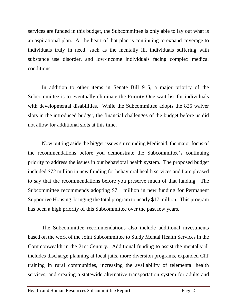services are funded in this budget, the Subcommittee is only able to lay out what is an aspirational plan. At the heart of that plan is continuing to expand coverage to individuals truly in need, such as the mentally ill, individuals suffering with substance use disorder, and low-income individuals facing complex medical conditions.

In addition to other items in Senate Bill 915, a major priority of the Subcommittee is to eventually eliminate the Priority One wait-list for individuals with developmental disabilities. While the Subcommittee adopts the 825 waiver slots in the introduced budget, the financial challenges of the budget before us did not allow for additional slots at this time.

Now putting aside the bigger issues surrounding Medicaid, the major focus of the recommendations before you demonstrate the Subcommittee's continuing priority to address the issues in our behavioral health system. The proposed budget included \$72 million in new funding for behavioral health services and I am pleased to say that the recommendations before you preserve much of that funding. The Subcommittee recommends adopting \$7.1 million in new funding for Permanent Supportive Housing, bringing the total program to nearly \$17 million. This program has been a high priority of this Subcommittee over the past few years.

The Subcommittee recommendations also include additional investments based on the work of the Joint Subcommittee to Study Mental Health Services in the Commonwealth in the 21st Century. Additional funding to assist the mentally ill includes discharge planning at local jails, more diversion programs, expanded CIT training in rural communities, increasing the availability of telemental health services, and creating a statewide alternative transportation system for adults and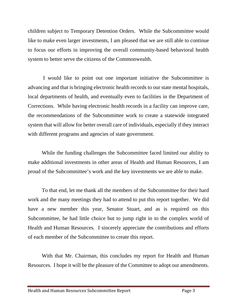children subject to Temporary Detention Orders. While the Subcommittee would like to make even larger investments, I am pleased that we are still able to continue to focus our efforts in improving the overall community-based behavioral health system to better serve the citizens of the Commonwealth.

I would like to point out one important initiative the Subcommittee is advancing and that is bringing electronic health records to our state mental hospitals, local departments of health, and eventually even to facilities in the Department of Corrections. While having electronic health records in a facility can improve care, the recommendations of the Subcommittee work to create a statewide integrated system that will allow for better overall care of individuals, especially if they interact with different programs and agencies of state government.

While the funding challenges the Subcommittee faced limited our ability to make additional investments in other areas of Health and Human Resources, I am proud of the Subcommittee's work and the key investments we are able to make.

To that end, let me thank all the members of the Subcommittee for their hard work and the many meetings they had to attend to put this report together. We did have a new member this year, Senator Stuart, and as is required on this Subcommittee, he had little choice but to jump right in to the complex world of Health and Human Resources. I sincerely appreciate the contributions and efforts of each member of the Subcommittee to create this report.

With that Mr. Chairman, this concludes my report for Health and Human Resources. I hope it will be the pleasure of the Committee to adopt our amendments.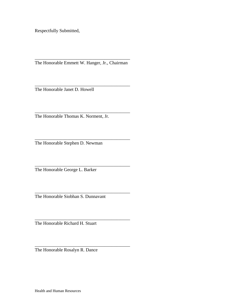Respectfully Submitted,

\_\_\_\_\_\_\_\_\_\_\_\_\_\_\_\_\_\_\_\_\_\_\_\_\_\_\_\_\_\_\_\_\_\_\_\_\_\_\_\_\_ The Honorable Emmett W. Hanger, Jr., Chairman

\_\_\_\_\_\_\_\_\_\_\_\_\_\_\_\_\_\_\_\_\_\_\_\_\_\_\_\_\_\_\_\_\_\_\_\_\_\_\_\_\_

\_\_\_\_\_\_\_\_\_\_\_\_\_\_\_\_\_\_\_\_\_\_\_\_\_\_\_\_\_\_\_\_\_\_\_\_\_\_\_\_\_

\_\_\_\_\_\_\_\_\_\_\_\_\_\_\_\_\_\_\_\_\_\_\_\_\_\_\_\_\_\_\_\_\_\_\_\_\_\_\_\_\_

\_\_\_\_\_\_\_\_\_\_\_\_\_\_\_\_\_\_\_\_\_\_\_\_\_\_\_\_\_\_\_\_\_\_\_\_\_\_\_\_\_

\_\_\_\_\_\_\_\_\_\_\_\_\_\_\_\_\_\_\_\_\_\_\_\_\_\_\_\_\_\_\_\_\_\_\_\_\_\_\_\_\_

\_\_\_\_\_\_\_\_\_\_\_\_\_\_\_\_\_\_\_\_\_\_\_\_\_\_\_\_\_\_\_\_\_\_\_\_\_\_\_\_\_

The Honorable Janet D. Howell

The Honorable Thomas K. Norment, Jr.

\_\_\_\_\_\_\_\_\_\_\_\_\_\_\_\_\_\_\_\_\_\_\_\_\_\_\_\_\_\_\_\_\_\_\_\_\_\_\_\_\_ The Honorable Stephen D. Newman

The Honorable George L. Barker

The Honorable Siobhan S. Dunnavant

The Honorable Richard H. Stuart

The Honorable Rosalyn R. Dance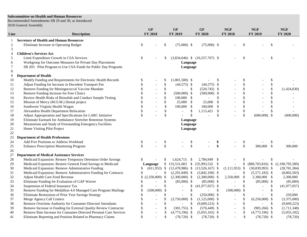#### **Subcommittee on Health and Human Resources**

Recommended Amendments SB 29 and 30, as Introduced 2018 General Assembly

| Line       | <b>Description</b>                                                |               | <b>GF</b><br><b>FY 2018</b> |                           | GF<br>FY 2019            |               | GF<br>FY 2020                       |                   | NGF<br>FY 2018           |                           | <b>NGF</b><br>FY 2019 |               | <b>NGF</b><br>FY 2020 |
|------------|-------------------------------------------------------------------|---------------|-----------------------------|---------------------------|--------------------------|---------------|-------------------------------------|-------------------|--------------------------|---------------------------|-----------------------|---------------|-----------------------|
| 1          | <b>Secretary of Health and Human Resources</b>                    |               |                             |                           |                          |               |                                     |                   |                          |                           |                       |               |                       |
| $\sqrt{2}$ | Eliminate Increase in Operating Budget                            | \$            |                             | \$                        | $(75,000)$ \$            |               | $(75,000)$ \$                       |                   |                          | <sup>\$</sup>             |                       | \$            |                       |
| 3          |                                                                   |               |                             |                           |                          |               |                                     |                   |                          |                           |                       |               |                       |
| 4          | <b>Children's Services Act</b>                                    |               |                             |                           |                          |               |                                     |                   |                          |                           |                       |               |                       |
| 5          | Limit Expenditure Growth in CSA Services                          | \$            |                             | S                         |                          |               | $(3,834,046)$ \$ $(10,257,767)$ \$  |                   |                          | -\$                       |                       | \$            |                       |
| 6          | Workgroup for Outcome Measures for Private Day Placements         |               |                             |                           | Language                 |               |                                     |                   |                          |                           |                       |               |                       |
| 7          | SB 205: Pilot Program to Use CSA Funds for Public Day Programs    |               |                             |                           | Language                 |               |                                     |                   |                          |                           |                       |               |                       |
| 8          |                                                                   |               |                             |                           |                          |               |                                     |                   |                          |                           |                       |               |                       |
| 9          | <b>Department of Health</b>                                       |               |                             |                           |                          |               |                                     |                   |                          |                           |                       |               |                       |
| 10         | Modify Funding and Requirements for Electronic Health Records     |               |                             | S.                        | $(1,801,500)$ \$         |               |                                     | \$                |                          | <sup>\$</sup>             |                       | \$            |                       |
| 11         | Adjust Funding for Increase in Decedent Transport Fee             |               |                             | \$                        | $(44,575)$ \$            |               | $(44,575)$ \$                       |                   |                          | $\mathbb{S}$              |                       | \$            |                       |
| 12         | Remove Funding for Meningococcal Vaccine Mandate                  |               |                             | \$                        |                          | \$            | $(520,745)$ \$                      |                   |                          | $\boldsymbol{\mathsf{S}}$ |                       | \$            | (1,424,030)           |
| 13         | Remove Funding Increase for Free Clinics                          |               |                             | \$                        | $(500,000)$ \$           |               | $(500,000)$ \$                      |                   |                          | \$                        |                       | \$            |                       |
| 14         | Review Health Risks of Biosolids and Conduct Sample Testing       |               |                             |                           | 100,000                  | $\mathcal{S}$ |                                     | \$                |                          | \$                        |                       | \$            |                       |
| 15         | Mission of Mercy (M.O.M.) Dental project                          |               |                             | \$                        | 25,000                   | $\mathbb{S}$  | 25,000                              | $\mathcal{S}$     |                          | $\mathcal{S}$             |                       | \$            |                       |
| 16         | Southwest Virginia Health Wagon                                   |               |                             | \$                        | 100,000                  | \$            | 100,000                             | $\mathbb{S}$      |                          | $\boldsymbol{\mathsf{S}}$ |                       | \$            |                       |
| 17         | Alexandria Health Department Relocation                           |               |                             | \$                        | $\sim$                   | \$            | 1,113,421                           | $\mathcal{S}$     |                          | \$                        |                       | \$            |                       |
| 18         | Adjust Appropriation and Specifications for LARC Initiative       |               |                             | $\mathbb{S}$              |                          | $\mathcal{S}$ |                                     | \$                |                          | \$                        | $(600,000)$ \$        |               | (600,000)             |
| 19         | Eliminate Earmark for Ambulance Stretcher Retention Systems       |               |                             |                           | Language                 |               |                                     |                   |                          |                           |                       |               |                       |
| 20         | Moratorium and Study of Freestanding Emergency Facilities         |               |                             |                           | Language                 |               |                                     |                   |                          |                           |                       |               |                       |
| 21         | Home Visiting Pilot Project                                       |               |                             |                           | Language                 |               |                                     |                   |                          |                           |                       |               |                       |
| 22         |                                                                   |               |                             |                           |                          |               |                                     |                   |                          |                           |                       |               |                       |
| 23         | <b>Department of Health Professions</b>                           |               |                             |                           |                          |               |                                     |                   |                          |                           |                       |               |                       |
| 24         | Add Five Positions to Address Workload                            | \$            |                             | \$                        |                          | \$            |                                     | \$                |                          | $\boldsymbol{\mathsf{S}}$ |                       | \$            |                       |
| 25         | <b>Enhance Prescription Monitoring Program</b>                    | \$            |                             | $\mathbf{\hat{S}}$        |                          | \$            |                                     | $\boldsymbol{\$}$ |                          | $\mathsf{\$}$             | 300,000 \$            |               | 300,000               |
| 26         |                                                                   |               |                             |                           |                          |               |                                     |                   |                          |                           |                       |               |                       |
| 27         | <b>Department of Medical Assistance Services</b>                  |               |                             |                           |                          |               |                                     |                   |                          |                           |                       |               |                       |
| 28         | Medicaid Expansion: Restore Temporary Detention Order Savings     |               |                             | S                         | $1,624,715$ \$           |               | 2,784,949 \$                        |                   |                          | S                         |                       | \$            |                       |
| 29         | Medicaid Expansion: Restore General Fund Savings in Medicaid      |               | Language                    |                           | \$133,531,003            |               | \$ 235,993,532 \$                   |                   |                          | \$                        | $(889,703,816)$ \$    |               | (2,198,795,589)       |
| 30         | Medicaid Expansion: Remove Administrative Funding                 |               | $(611,953)$ \$              |                           |                          |               | $(12,478,986)$ \$ $(13,526,167)$ \$ |                   | $(1,111,953)$ \$         |                           | $(30,839,993)$ \$     |               | (28, 781, 384)        |
| 31         | Medicaid Expansion: Remove Administrative Funding for Contracts   |               |                             | \$                        | $(2,291,849)$ \$         |               | $(3,842,100)$ \$                    |                   | $\overline{\phantom{0}}$ | $\mathcal{S}$             | $(5,571,183)$ \$      |               | (8,802,503)           |
| 32         | Adjust Health Care Fund Revenue                                   |               | $(2,350,000)$ \$            |                           | $(2,300,000)$ \$         |               | $(2,300,000)$ \$                    |                   | 2,350,000                | \$                        | 2,300,000 \$          |               | 2,300,000             |
| 33         | Eliminate Funding for Evaluation of GAP Waiver                    |               |                             | \$                        | $(85,000)$ \$            |               | $(85,000)$ \$                       |                   |                          | $\mathcal{S}$             | $(85,000)$ \$         |               | (85,000)              |
| 34         | Suspension of Federal Insurance Tax                               |               |                             |                           |                          | \$            | $(41,977,057)$ \$                   |                   |                          | $\mathbb{S}$              |                       | S             | (41, 977, 057)        |
| 35         | Remove Funding for Medallion 4.0 Managed Care Program Mailings    |               | (500,000)                   | $\boldsymbol{\mathsf{S}}$ |                          | \$            | $\overline{\phantom{a}}$            | $\mathcal{S}$     | (500,000)                | \$                        | $\blacksquare$        | $\mathcal{S}$ |                       |
| 36         | Eliminate Restoration of Prior Year Savings Strategy              |               |                             | \$                        | $\overline{\phantom{a}}$ | \$            | $(250,000)$ \$                      |                   | $\blacksquare$           | $\boldsymbol{\mathsf{S}}$ |                       | $\mathcal{S}$ | 250,000               |
| 37         | Merge Agency Call Centers                                         |               |                             | \$                        | $(3,750,000)$ \$         |               | $(1,125,000)$ \$                    |                   | $\overline{\phantom{a}}$ | $\boldsymbol{\mathsf{S}}$ | $(6,250,000)$ \$      |               | (3,375,000)           |
| 38         | Remove Overtime Authority for Consumer-Directed Attendants        |               |                             | \$                        |                          | \$            | $(9,609,223)$ \$                    |                   |                          | \$                        |                       | <sup>\$</sup> | (9,609,223)           |
| 39         | Remove Increase in Funding for External Quality Review Contractor |               |                             | \$                        | $(301,755)$ \$           |               | $(570, 449)$ \$                     |                   |                          | \$                        | $(905, 266)$ \$       |               | (1,711,348)           |
| 40         | Remove Rate Increase for Consumer-Directed Personal Care Services |               |                             | \$                        | $(4,773,196)$ \$         |               | $(5,055,102)$ \$                    |                   | $\sim$                   | $\boldsymbol{\mathsf{S}}$ | $(4,773,196)$ \$      |               | (5,055,102)           |
| 41         | Eliminate Reporting and Position Related to Pharmacy Claims       | $\mathcal{S}$ |                             | \$                        | $(78, 720)$ \$           |               | $(78, 720)$ \$                      |                   | $\overline{a}$           | $\mathcal{S}$             | $(78, 720)$ \$        |               | (78, 720)             |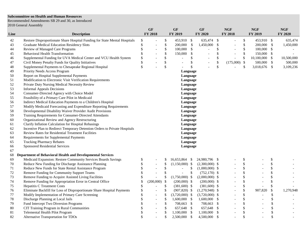#### **Subcommittee on Health and Human Resources**

Recommended Amendments SB 29 and 30, as Introduced 2018 General Assembly

| Line     | <b>Description</b>                                                         |                           | <b>GF</b><br>FY 2018     |               | <b>GF</b><br>FY 2019      |              | <b>GF</b><br>FY 2020     |                     | <b>NGF</b><br>FY 2018    |                    | <b>NGF</b><br>FY 2019    |               | <b>NGF</b><br>FY 2020 |
|----------|----------------------------------------------------------------------------|---------------------------|--------------------------|---------------|---------------------------|--------------|--------------------------|---------------------|--------------------------|--------------------|--------------------------|---------------|-----------------------|
|          |                                                                            |                           |                          |               |                           |              |                          |                     |                          |                    |                          |               |                       |
| 42       | Restore Disproportionate Share Hospital Funding for State Mental Hospitals | $\boldsymbol{\mathsf{S}}$ |                          | \$<br>\$      | 453,910 \$                |              | 635,474 \$               |                     |                          | \$<br>$\mathbb{S}$ | 453,910 \$               |               | 635,474               |
| 43       | <b>Graduate Medical Education Residency Slots</b>                          | \$<br>$\mathbb S$         |                          | \$            | 200,000<br>100,000        | $\mathbb{S}$ | 1,450,000                | $\mathcal{S}$<br>\$ |                          | \$                 | 200,000<br>100,000       | $\mathbb{S}$  | 1,450,000             |
| 44       | Review of Managed Care Programs<br><b>Behavioral Health Transformation</b> | \$                        | $\overline{\phantom{a}}$ | \$            |                           | -\$          | $\overline{\phantom{a}}$ | \$                  | $\overline{\phantom{a}}$ | \$                 |                          | $\mathcal{S}$ |                       |
| 45       |                                                                            | \$                        |                          |               | 150,000<br>$\overline{a}$ | \$           | $\overline{\phantom{a}}$ |                     | $\overline{\phantom{a}}$ |                    | 150,000 \$<br>10,100,000 |               |                       |
| 46       | Supplemental Funding for UVA Medical Center and VCU Health System          |                           |                          | \$            |                           | \$           |                          | \$                  |                          | \$                 |                          | $\mathcal{S}$ | 10,500,000            |
| 47       | Civil Money Penalty Funds for Quality Initiatives                          | \$<br>$\mathbb{S}$        |                          | \$<br>\$      | $\overline{\phantom{a}}$  | \$<br>\$     |                          | \$<br>\$            | $(175,000)$ \$           | \$                 | 500,000<br>3,018,676 \$  | $\mathcal{S}$ | 500,000<br>3,109,236  |
| 48<br>49 | Supplemental Payments to Chesapeake Regional Hospital                      |                           |                          |               |                           |              |                          |                     |                          |                    |                          |               |                       |
|          | Priority Needs Access Program                                              |                           |                          |               | Language                  |              |                          |                     |                          |                    |                          |               |                       |
| 50       | Report on Hospital Supplemental Payments                                   |                           |                          |               | Language                  |              |                          |                     |                          |                    |                          |               |                       |
| 51       | Modification to Electronic Visit Verification Requirements                 |                           |                          |               | Language                  |              |                          |                     |                          |                    |                          |               |                       |
| 52       | Private Duty Nursing Medical Necessity Review                              |                           |                          |               | Language                  |              |                          |                     |                          |                    |                          |               |                       |
| 53       | <b>Informal Appeals Decisions</b>                                          |                           |                          |               | Language                  |              |                          |                     |                          |                    |                          |               |                       |
| 54       | Consumer-Directed Agency with Choice Model                                 |                           |                          |               | Language                  |              |                          |                     |                          |                    |                          |               |                       |
| 55       | Feasibility of a Primary Care Pilot in Medicaid                            |                           |                          |               | Language                  |              |                          |                     |                          |                    |                          |               |                       |
| 56       | Indirect Medical Education Payments to a Children's Hospital               |                           |                          |               | Language                  |              |                          |                     |                          |                    |                          |               |                       |
| 57       | Modify Medicaid Forecasting and Expenditure Reporting Requirements         |                           |                          |               | Language                  |              |                          |                     |                          |                    |                          |               |                       |
| 58       | Developmental Disability Waiver Provider Audit Provisions                  |                           |                          |               | Language                  |              |                          |                     |                          |                    |                          |               |                       |
| 59       | Training Requirements for Consumer-Directed Attendants                     |                           |                          |               | Language                  |              |                          |                     |                          |                    |                          |               |                       |
| 60       | Organizational Review and Agency Restructuring                             |                           |                          |               | Language                  |              |                          |                     |                          |                    |                          |               |                       |
| 61       | Clarify Inflation Calculation for Hospital Rebasings                       |                           |                          |               | Language                  |              |                          |                     |                          |                    |                          |               |                       |
| 62       | Incentive Plan to Redirect Temporary Detention Orders to Private Hospitals |                           |                          |               | Language                  |              |                          |                     |                          |                    |                          |               |                       |
| 63       | Review Rates for Residential Treatment Facilities                          |                           |                          |               | Language                  |              |                          |                     |                          |                    |                          |               |                       |
| 64       | Requirements for Supplemental Payments                                     |                           |                          |               | Language                  |              |                          |                     |                          |                    |                          |               |                       |
| 65       | <b>Tracking Pharmacy Rebates</b>                                           |                           |                          |               | Language                  |              |                          |                     |                          |                    |                          |               |                       |
| 66       | <b>Sponsored Residential Services</b>                                      |                           |                          |               | Language                  |              |                          |                     |                          |                    |                          |               |                       |
| 67<br>68 | Department of Behavioral Health and Developmental Services                 |                           |                          |               |                           |              |                          |                     |                          |                    |                          |               |                       |
| 69       | Medicaid Expansion: Restore Community Services Boards Savings              | \$                        |                          | S             | 16,653,864 \$             |              | 24,980,796 \$            |                     |                          | S                  |                          | \$            |                       |
| 70       | Reduce New Funding for Discharge Assistance Planning                       | \$                        | $\overline{\phantom{a}}$ | \$            | $(1,150,000)$ \$          |              | $(2,300,000)$ \$         |                     |                          | \$                 |                          | \$            |                       |
| 71       | Reduce New Funds for State Rental Assistance Program                       | \$                        | $\overline{a}$           | \$            | $\blacksquare$            | \$           | $(1,000,000)$ \$         |                     |                          | \$                 |                          | \$            |                       |
| 72       | Remove Funding for Community Support Teams                                 | \$                        | $\sim$                   | \$            | $\overline{a}$            | $\$$         | $(752,170)$ \$           |                     |                          | \$                 |                          | \$            |                       |
| 73       | Remove Funding to Acquire Assisted Living Facilities                       | \$                        | $\overline{\phantom{a}}$ | \$            | $(1,750,000)$ \$          |              | $(2,000,000)$ \$         |                     |                          | \$                 |                          | \$            |                       |
| 74       | Remove Funding for Appropriation Error in Central Office                   | \$                        | (200,000)                | $\mathcal{S}$ | $(200,000)$ \$            |              | $(200,000)$ \$           |                     | $\overline{\phantom{a}}$ | \$                 |                          | \$            |                       |
| 75       | Hepatitis C Treatment Costs                                                | $\$$                      |                          | \$            | $(381,600)$ \$            |              | $(381,600)$ \$           |                     |                          | \$                 |                          | \$            |                       |
| 76       | Eliminate Backfill for Loss of Disproportionate Share Hospital Payments    | \$                        |                          | \$            | $(907, 820)$ \$           |              | $(1,270,948)$ \$         |                     |                          | \$                 | 907,820                  | \$            | 1,270,948             |
| 77       | Modify Implementation of Primary Care Screening                            | \$                        | $\blacksquare$           | \$            | $(3,720,000)$ \$          |              | $(3,720,000)$ \$         |                     |                          | \$                 |                          | \$            |                       |
| 78       | Discharge Planning at Local Jails                                          | \$                        | $\overline{\phantom{a}}$ | \$            | $1,600,000$ \$            |              | 1,600,000 \$             |                     |                          | \$                 |                          | \$            |                       |
| 79       | Fund Intercept Two Diversion Programs                                      | \$                        | $\overline{\phantom{a}}$ | \$            | 708,663 \$                |              | 708,663 \$               |                     |                          | \$                 |                          | \$            |                       |
| 80       | CIT Training Program in Rural Communities                                  | \$                        | $\overline{a}$           | \$            | 657,648 \$                |              | 657,648 \$               |                     |                          | \$                 |                          | \$            |                       |
| 81       | Telemental Health Pilot Program                                            | \$                        | $\overline{a}$           | \$            | $1,100,000$ \$            |              | 1,100,000                | -\$                 | $\overline{\phantom{a}}$ | \$                 |                          | \$            |                       |
| 82       | Alternative Transportation for TDOs                                        | \$                        |                          | \$            | 2,500,000                 | $\mathbb{S}$ | 4,500,000                | $\mathcal{S}$       |                          | \$                 |                          | $\mathcal{S}$ |                       |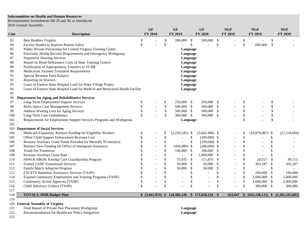#### **Subcommittee on Health and Human Resources**

Recommended Amendments SB 29 and 30, as Introduced 2018 General Assembly

|      |                                                                                 |               | <b>GF</b>      |                           | <b>GF</b>                                     |               | <b>GF</b>        |                           | NGF                      |              | NGF                      |                           | <b>NGF</b>      |
|------|---------------------------------------------------------------------------------|---------------|----------------|---------------------------|-----------------------------------------------|---------------|------------------|---------------------------|--------------------------|--------------|--------------------------|---------------------------|-----------------|
| Line | <b>Description</b>                                                              |               | <b>FY 2018</b> |                           | FY 2019                                       |               | <b>FY 2020</b>   |                           | <b>FY 2018</b>           |              | FY 2019                  |                           | FY 2020         |
| 83   | <b>Best Buddies Virginia</b>                                                    | \$            |                | \$                        | 200,000                                       | \$            | 200,000          | $\boldsymbol{\mathsf{S}}$ |                          | \$           |                          | $\boldsymbol{\mathsf{S}}$ |                 |
| 84   | Facility Studies to Improve Patient Safety                                      | \$            |                | $\mathcal{S}$             | $\overline{a}$                                | $\mathbb{S}$  |                  | $\$$                      |                          | $\mathbb{S}$ | 600,000                  | $\mathcal{S}$             |                 |
| 85   | Public-Private Partnership for Central Virginia Training Center                 |               |                |                           | Language                                      |               |                  |                           |                          |              |                          |                           |                 |
| 86   | Electronic Health Records Requirements and Interagency Workgroup                |               |                |                           | Language                                      |               |                  |                           |                          |              |                          |                           |                 |
| 87   | <b>Supportive Housing Services</b>                                              |               |                |                           | Language                                      |               |                  |                           |                          |              |                          |                           |                 |
| 88   | Report on Bond Defeasance Costs of State Training Centers                       |               |                |                           | Language                                      |               |                  |                           |                          |              |                          |                           |                 |
| 89   | Notification of Appropriation Transfers to VCBR                                 |               |                |                           | Language                                      |               |                  |                           |                          |              |                          |                           |                 |
| 90   | Medication Assisted Treatment Requirements                                      |               |                |                           | Language                                      |               |                  |                           |                          |              |                          |                           |                 |
| 91   | Special Revenue Fund Balance                                                    |               |                |                           | Language                                      |               |                  |                           |                          |              |                          |                           |                 |
| 92   | Reporting on Waivers                                                            |               |                |                           | Language                                      |               |                  |                           |                          |              |                          |                           |                 |
| 93   | Lease of Eastern State Hospital Land for Hope Village Project                   |               |                |                           | Language                                      |               |                  |                           |                          |              |                          |                           |                 |
| 94   | Lease of Eastern State Hospital Land for Medical and Behavioral Health Facility |               |                |                           | Language                                      |               |                  |                           |                          |              |                          |                           |                 |
| 95   |                                                                                 |               |                |                           |                                               |               |                  |                           |                          |              |                          |                           |                 |
| 96   | Department for Aging and Rehabilitative Services                                |               |                |                           |                                               |               |                  |                           |                          |              |                          |                           |                 |
| 97   | Long-Term Employment Support Services                                           | \$            |                | \$                        | 250,000 \$                                    |               | 250,000 \$       |                           |                          | \$           |                          | \$                        |                 |
| 98   | Brain Injury Case Management Services                                           | \$            |                | \$                        | 500,000 \$                                    |               | 500,000 \$       |                           |                          | $\$$         |                          | $\$$                      |                 |
| 99   | Address Waiting Lists for Aging Services                                        | \$            |                | \$                        | 500,000                                       | $\mathcal{S}$ | 500,000 \$       |                           |                          | $\$$         |                          | $\mathbb{S}$              |                 |
| 100  | Long-Term Care Ombudsman                                                        | \$            |                | \$                        | 300,000                                       | $\mathcal{S}$ | 300,000 \$       |                           |                          | $\$$         |                          | $\mathbb{S}$              |                 |
| 101  | Requirements for Employment Support Services Programs and Workgroup             |               |                |                           | Language                                      |               |                  |                           |                          | $\mathbb{S}$ |                          | \$                        |                 |
| 102  |                                                                                 |               |                |                           |                                               |               |                  |                           |                          |              |                          |                           |                 |
|      | 103 Department of Social Services                                               |               |                |                           |                                               |               |                  |                           |                          |              |                          |                           |                 |
| 104  | Medicaid Expansion: Remove Funding for Eligibility Workers                      | \$            |                | \$                        | $(2,250,545)$ \$                              |               | $(3,642,480)$ \$ |                           |                          | \$           | $(16,879,087)$ \$        |                           | (27,318,604)    |
| 105  | Offset Child Support Enforcement Revenue Loss                                   |               |                | \$                        |                                               | \$            | $(200,000)$ \$   |                           |                          | $\$$         |                          | \$                        |                 |
| 106  | Remove Auxiliary Grant Funds Provided for Mentally Ill Initiative               | $\mathcal{S}$ |                | \$                        | $\overline{a}$                                | \$            | $(299,040)$ \$   |                           |                          | \$           | $\overline{a}$           | \$                        |                 |
| 107  | Remove New Funding for Office of Immigrant Assistance                           |               |                | \$                        | $(450,000)$ \$                                |               | $(300,000)$ \$   |                           |                          | \$           |                          | $\boldsymbol{\mathsf{S}}$ |                 |
| 108  | Youth For Tomorrow                                                              |               |                | \$                        | 100,000                                       | -\$           | 100,000 \$       |                           |                          | \$           |                          | \$                        |                 |
| 109  | <b>Increase Auxiliary Grant Rate</b>                                            |               |                | \$                        | $\blacksquare$                                | \$            | 1,000,000 \$     |                           |                          | \$           |                          | \$                        |                 |
| 110  | SB44 & SB636: Kinship Care Guardianship Program                                 |               |                | \$                        | 55,935                                        | \$            | 111,870 \$       |                           |                          | \$           | 24,557                   | $\boldsymbol{\mathsf{S}}$ | 49,113          |
| 111  | <b>Extend TANF Transitional Services</b>                                        | \$            |                | $\boldsymbol{\mathsf{S}}$ | 50,000                                        | \$            | 50,000           | $\mathcal{S}$             |                          | \$           | 303,187                  | \$                        | 303,187         |
| 112  | Family Match Adoption Program                                                   |               |                | \$                        | 50,000                                        | \$            | 50,000           | \$                        |                          | \$           | $\overline{\phantom{a}}$ | $\boldsymbol{\mathsf{S}}$ | $\sim$          |
| 113  | FACETS Homeless Assistance Services (TANF)                                      |               |                | \$                        | $\overline{a}$                                | \$            |                  | \$                        |                          | $\mathbb{S}$ | 200,000 \$               |                           | 100,000         |
| 114  | Expand Community Employment and Training Programs (TANF)                        | $\mathcal{S}$ |                | $\boldsymbol{\mathsf{S}}$ |                                               | \$            | $\overline{a}$   | \$                        | $\sim$                   | \$           | $2,000,000$ \$           |                           | 2,000,000       |
| 115  | Community Action Agencies (TANF)                                                | \$            |                | $\mathbb{S}$              | $\overline{\phantom{a}}$                      | \$            | $\overline{a}$   | \$                        | $\overline{\phantom{a}}$ | \$           | 2,000,000 \$             |                           | 2,000,000       |
| 116  | Child Advocacy Centers (TANF)                                                   | \$            |                |                           |                                               | $\mathcal{S}$ |                  | \$                        |                          | \$           | 300,000 \$               |                           | 300,000         |
| 117  |                                                                                 |               |                |                           |                                               |               |                  |                           |                          |              |                          |                           |                 |
| 118  | <b>TOTALS: HHR Budget Plan</b>                                                  |               |                |                           | $$ (3,661,953) $ 118,386,146 $ 172,828,210 $$ |               |                  |                           | 563,047                  |              | $$ (932,228,111)$ \\$    |                           | (2,302,545,602) |
| 119  |                                                                                 |               |                |                           |                                               |               |                  |                           |                          |              |                          |                           |                 |
|      | 120 General Assembly of Virginia                                                |               |                |                           |                                               |               |                  |                           |                          |              |                          |                           |                 |
| 121  | Final Report of Private Day Placement Workgroup                                 |               |                |                           | Language                                      |               |                  |                           |                          |              |                          |                           |                 |
| 122  | Recommendations for Healthcare Policy Integration                               |               |                |                           | Language                                      |               |                  |                           |                          |              |                          |                           |                 |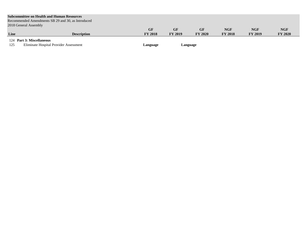| <b>Subcommittee on Health and Human Resources</b>  |                    |                |                |                |                |                |                |  |  |  |  |
|----------------------------------------------------|--------------------|----------------|----------------|----------------|----------------|----------------|----------------|--|--|--|--|
| Recommended Amendments SB 29 and 30, as Introduced |                    |                |                |                |                |                |                |  |  |  |  |
| 2018 General Assembly                              |                    |                |                |                |                |                |                |  |  |  |  |
|                                                    |                    | GF             | GF             | GF             | <b>NGF</b>     | <b>NGF</b>     | <b>NGF</b>     |  |  |  |  |
| Line                                               | <b>Description</b> | <b>FY 2018</b> | <b>FY 2019</b> | <b>FY 2020</b> | <b>FY 2018</b> | <b>FY 2019</b> | <b>FY 2020</b> |  |  |  |  |
| 124 Part 3: Miscellaneous                          |                    |                |                |                |                |                |                |  |  |  |  |

125 Eliminate Hospital Provider Assessment **Language Language**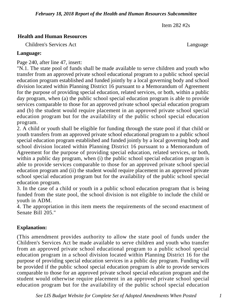Item 282 #2s

## **Health and Human Resources**

Children's Services Act Language

## **Language:**

Page 240, after line 47, insert:

"N.1. The state pool of funds shall be made available to serve children and youth who transfer from an approved private school educational program to a public school special education program established and funded jointly by a local governing body and school division located within Planning District 16 pursuant to a Memorandum of Agreement for the purpose of providing special education, related services, or both, within a public day program, when (a) the public school special education program is able to provide services comparable to those for an approved private school special education program and (b) the student would require placement in an approved private school special education program but for the availability of the public school special education program.

2. A child or youth shall be eligible for funding through the state pool if that child or youth transfers from an approved private school educational program to a public school special education program established and funded jointly by a local governing body and school division located within Planning District 16 pursuant to a Memorandum of Agreement for the purpose of providing special education, related services, or both, within a public day program, when (i) the public school special education program is able to provide services comparable to those for an approved private school special education program and (ii) the student would require placement in an approved private school special education program but for the availability of the public school special education program.

3. In the case of a child or youth in a public school education program that is being funded from the state pool, the school division is not eligible to include the child or youth in ADM.

4. The appropriation in this item meets the requirements of the second enactment of Senate Bill 205."

# **Explanation:**

(This amendment provides authority to allow the state pool of funds under the Children's Services Act be made available to serve children and youth who transfer from an approved private school educational program to a public school special education program in a school division located within Planning District 16 for the purpose of providing special education services in a public day program. Funding will be provided if the public school special education program is able to provide services comparable to those for an approved private school special education program and the student would otherwise require placement in an approved private school special education program but for the availability of the public school special education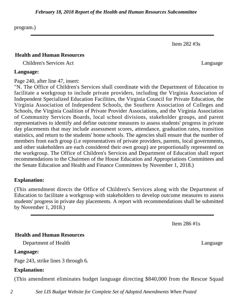#### *February 18, 2018 Report of the Health and Human Resources Subcommittee*

program.)

## **Health and Human Resources**

Children's Services Act Language

## **Language:**

## Page 240, after line 47, insert:

"N. The Office of Children's Services shall coordinate with the Department of Education to facilitate a workgroup to include private providers, including the Virginia Association of Independent Specialized Education Facilities, the Virginia Council for Private Education, the Virginia Association of Independent Schools, the Southern Association of Colleges and Schools, the Virginia Coalition of Private Provider Associations, and the Virginia Association of Community Services Boards, local school divisions, stakeholder groups, and parent representatives to identify and define outcome measures to assess students' progress in private day placements that may include assessment scores, attendance, graduation rates, transition statistics, and return to the students' home schools. The agencies shall ensure that the number of members from each group (i.e representatives of private providers, parents, local governments, and other stakeholders are each considered their own group) are proportionally represented on the workgroup. The Office of Children's Services and Department of Education shall report recommendations to the Chairmen of the House Education and Appropriations Committees and the Senate Education and Health and Finance Committees by November 1, 2018.)

# **Explanation:**

(This amendment directs the Office of Children's Services along with the Department of Education to facilitate a workgroup with stakeholders to develop outcome measures to assess students' progress in private day placements. A report with recommendations shall be submitted by November 1, 2018.)

Item 286 #1s

Item 282 #3s

# **Health and Human Resources**

Department of Health Language

# **Language:**

Page 243, strike lines 3 through 6.

# **Explanation:**

(This amendment eliminates budget language directing \$840,000 from the Rescue Squad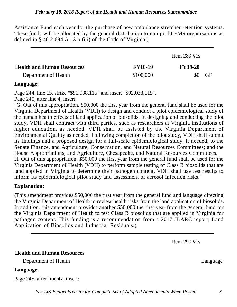Assistance Fund each year for the purchase of new ambulance stretcher retention systems. These funds will be allocated by the general distribution to non-profit EMS organizations as defined in § 46.2-694 A 13 b (iii) of the Code of Virginia.)

|                                   |                | Item $289$ #1s |           |
|-----------------------------------|----------------|----------------|-----------|
| <b>Health and Human Resources</b> | <b>FY18-19</b> | <b>FY19-20</b> |           |
| Department of Health              | \$100,000      | \$0            | <b>GF</b> |

#### **Language:**

Page 244, line 15, strike "\$91,938,115" and insert "\$92,038,115". Page 245, after line 4, insert:

"G. Out of this appropriation, \$50,000 the first year from the general fund shall be used for the Virginia Department of Health (VDH) to design and conduct a pilot epidemiological study of the human health effects of land application of biosolids. In designing and conducting the pilot study, VDH shall contract with third parties, such as researchers at Virginia institutions of higher education, as needed. VDH shall be assisted by the Virginia Department of Environmental Quality as needed. Following completion of the pilot study, VDH shall submit its findings and a proposed design for a full-scale epidemiological study, if needed, to the Senate Finance, and Agriculture, Conservation, and Natural Resources Committees; and the House Appropriations, and Agriculture, Chesapeake, and Natural Resources Committees. H. Out of this appropriation, \$50,000 the first year from the general fund shall be used for the

Virginia Department of Health (VDH) to perform sample testing of Class B biosolids that are land applied in Virginia to determine their pathogen content. VDH shall use test results to inform its epidemiological pilot study and assessment of aerosol infection risks."

## **Explanation:**

(This amendment provides \$50,000 the first year from the general fund and language directing the Virginia Department of Health to review health risks from the land application of biosolids. In addition, this amendment provides another \$50,000 the first year from the general fund for the Virginia Department of Health to test Class B biosolids that are applied in Virginia for pathogen content. This funding is a recommendation from a 2017 JLARC report, Land Application of Biosolids and Industrial Residuals.)

Item 290 #1s

**Health and Human Resources**

Department of Health Language

#### **Language:**

Page 245, after line 47, insert:

*See LIS Budget Website for Complete Set of Adopted Amendments When Posted 3*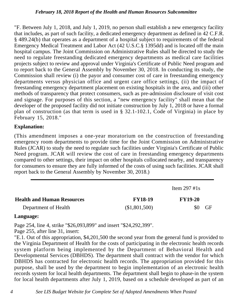#### *February 18, 2018 Report of the Health and Human Resources Subcommittee*

"F. Between July 1, 2018, and July 1, 2019, no person shall establish a new emergency facility that includes, as part of such facility, a dedicated emergency department as defined in 42 C.F.R. § 489.24(b) that operates as a department of a hospital subject to requirements of the federal Emergency Medical Treatment and Labor Act (42 U.S.C.§ 1395dd) and is located off the main hospital campus. The Joint Commission on Administrative Rules shall be directed to study the need to regulate freestanding dedicated emergency departments as medical care facilities projects subject to review and approval under Virginia's Certificate of Public Need program and to report back to the General Assembly by November 30, 2018. In conducting its study, the Commission shall review (i) the payor and consumer cost of care in freestanding emergency departments versus physician office and urgent care office settings, (ii) the impact of freestanding emergency department placement on existing hospitals in the area, and (iii) other methods of transparency that protect consumers, such as pre-admission disclosure of visit cost and signage. For purposes of this section, a "new emergency facility" shall mean that the developer of the proposed facility did not initiate construction by July 1, 2018 or have a formal plan of construction (as that term is used in § 32.1-102.1, Code of Virginia) in place by February 15, 2018."

## **Explanation:**

(This amendment imposes a one-year moratorium on the construction of freestanding emergency room departments to provide time for the Joint Commission on Administrative Rules (JCAR) to study the need to regulate such facilities under Virginia's Certificate of Public Need program. JCAR will review the cost of care in freestanding emergency departments compared to other settings, their impact on other hospitals collocated nearby, and transparency for consumers to ensure they are fully informed of the costs of using such facilities. JCAR shall report back to the General Assembly by November 30, 2018.)

|                                   |                | Item $297 \text{ #1s}$ |           |
|-----------------------------------|----------------|------------------------|-----------|
| <b>Health and Human Resources</b> | <b>FY18-19</b> | <b>FY19-20</b>         |           |
| Department of Health              | (\$1,801,500)  | \$0                    | <b>GF</b> |

## **Language:**

Page 254, line 4, strike "\$26,093,899" and insert "\$24,292,399".

Page 255, after line 31, insert:

"E.1. Out of this appropriation, \$4,201,500 the second year from the general fund is provided to the Virginia Department of Health for the costs of participating in the electronic health records system platform being implemented by the Department of Behavioral Health and Developmental Services (DBHDS). The department shall contract with the vendor for which DBHDS has contracted for electronic health records. The appropriation provided for this purpose, shall be used by the department to begin implementation of an electronic health records system for local health departments. The department shall begin to phase-in the system for local health departments after July 1, 2019, based on a schedule developed as part of an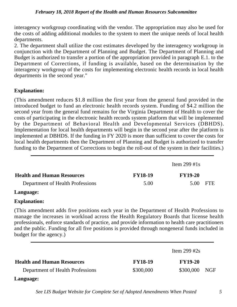#### *February 18, 2018 Report of the Health and Human Resources Subcommittee*

interagency workgroup coordinating with the vendor. The appropriation may also be used for the costs of adding additional modules to the system to meet the unique needs of local health departments.

2. The department shall utilize the cost estimates developed by the interagency workgroup in conjunction with the Department of Planning and Budget. The Department of Planning and Budget is authorized to transfer a portion of the appropriation provided in paragraph E.1. to the Department of Corrections, if funding is available, based on the determination by the interagency workgroup of the costs for implementing electronic health records in local health departments in the second year."

## **Explanation:**

(This amendment reduces \$1.8 million the first year from the general fund provided in the introduced budget to fund an electronic health records system. Funding of \$4.2 million the second year from the general fund remains for the Virginia Department of Health to cover the costs of participating in the electronic health records system platform that will be implemented by the Department of Behavioral Health and Developmental Services (DBHDS). Implementation for local health departments will begin in the second year after the platform is implemented at DBHDS. If the funding in FY 2020 is more than sufficient to cover the costs for local health departments then the Department of Planning and Budget is authorized to transfer funding to the Department of Corrections to begin the roll-out of the system in their facilities.)

|                                   |                | Item 299 #1s   |            |
|-----------------------------------|----------------|----------------|------------|
| <b>Health and Human Resources</b> | <b>FY18-19</b> | <b>FY19-20</b> |            |
| Department of Health Professions  | 5.00           | 5.00           | <b>FTE</b> |

## **Language:**

## **Explanation:**

(This amendment adds five positions each year in the Department of Health Professions to manage the increases in workload across the Health Regulatory Boards that license health professionals, enforce standards of practice, and provide information to health care practitioners and the public. Funding for all five positions is provided through nongeneral funds included in budget for the agency.)

|                                   |                | Item 299 #2s   |     |
|-----------------------------------|----------------|----------------|-----|
| <b>Health and Human Resources</b> | <b>FY18-19</b> | <b>FY19-20</b> |     |
| Department of Health Professions  | \$300,000      | \$300,000      | NGF |

# **Language:**

*See LIS Budget Website for Complete Set of Adopted Amendments When Posted 5*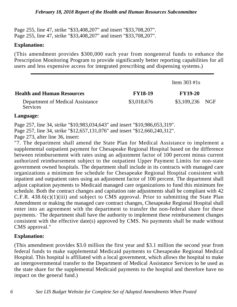Page 255, line 47, strike "\$33,408,207" and insert "\$33,708,207". Page 255, line 47, strike "\$33,408,207" and insert "\$33,708,207".

#### **Explanation:**

(This amendment provides \$300,000 each year from nongeneral funds to enhance the Prescription Monitoring Program to provide significantly better reporting capabilities for all users and less expensive access for integrated prescribing and dispensing systems.)

|                                                     |                | Item $303 \text{ #1s}$ |  |
|-----------------------------------------------------|----------------|------------------------|--|
| <b>Health and Human Resources</b>                   | <b>FY18-19</b> | <b>FY19-20</b>         |  |
| Department of Medical Assistance<br><b>Services</b> | \$3,018,676    | \$3,109,236 NGF        |  |

#### **Language:**

Page 257, line 34, strike "\$10,983,034,643" and insert "\$10,986,053,319". Page 257, line 34, strike "\$12,657,131,076" and insert "\$12,660,240,312". Page 273, after line 36, insert:

"7. The department shall amend the State Plan for Medical Assistance to implement a supplemental outpatient payment for Chesapeake Regional Hospital based on the difference between reimbursement with rates using an adjustment factor of 100 percent minus current authorized reimbursement subject to the outpatient Upper Payment Limits for non-state government owned hospitals. The department shall include in its contracts with managed care organizations a minimum fee schedule for Chesapeake Regional Hospital consistent with inpatient and outpatient rates using an adjustment factor of 100 percent. The department shall adjust capitation payments to Medicaid managed care organizations to fund this minimum fee schedule. Both the contract changes and capitation rate adjustments shall be compliant with 42 C.F.R.  $438.6(c)(1)(iii)$  and subject to CMS approval. Prior to submitting the State Plan Amendment or making the managed care contract changes, Chesapeake Regional Hospital shall enter into an agreement with the department to transfer the non-federal share for these payments.· The department shall have the authority to implement these reimbursement changes consistent with the effective date(s) approved by CMS. No payments shall be made without CMS approval."

## **Explanation:**

(This amendment provides \$3.0 million the first year and \$3.1 million the second year from federal funds to make supplemental Medicaid payments to Chesapeake Regional Medical Hospital. This hospital is affiliated with a local government, which allows the hospital to make an intergovernmental transfer to the Department of Medical Assistance Services to be used as the state share for the supplemental Medicaid payments to the hospital and therefore have no impact on the general fund.)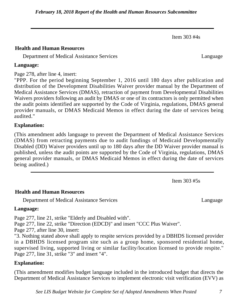Item 303 #4s

## **Health and Human Resources**

Department of Medical Assistance Services Language

#### **Language:**

Page 278, after line 4, insert:

"PPP. For the period beginning September 1, 2016 until 180 days after publication and distribution of the Development Disabilities Waiver provider manual by the Department of Medical Assistance Services (DMAS), retraction of payment from Developmental Disabilities Waivers providers following an audit by DMAS or one of its contractors is only permitted when the audit points identified are supported by the Code of Virginia, regulations, DMAS general provider manuals, or DMAS Medicaid Memos in effect during the date of services being audited."

## **Explanation:**

(This amendment adds language to prevent the Department of Medical Assistance Services (DMAS) from retracting payments due to audit fundings of Medicaid Developmentally Disabled (DD) Waiver providers until up to 180 days after the DD Waiver provider manual is published, unless the audit points are supported by the Code of Virginia, regulations, DMAS general provider manuals, or DMAS Medicaid Memos in effect during the date of services being audited.)

Item 303 #5s

## **Health and Human Resources**

Department of Medical Assistance Services Language

## **Language:**

Page 277, line 21, strike "Elderly and Disabled with".

Page 277, line 22, strike "Direction (EDCD)" and insert "CCC Plus Waiver".

Page 277, after line 30, insert:

"3. Nothing stated above shall apply to respite services provided by a DBHDS licensed provider in a DBHDS licensed program site such as a group home, sponsored residential home, supervised living, supported living or similar facility/location licensed to provide respite." Page 277, line 31, strike "3" and insert "4".

## **Explanation:**

(This amendment modifies budget language included in the introduced budget that directs the Department of Medical Assistance Services to implement electronic visit verification (EVV) as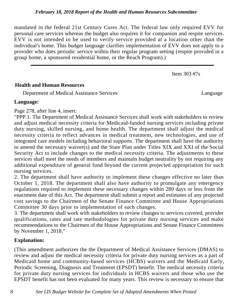mandated in the federal 21st Century Cures Act. The federal law only required EVV for personal care services whereas the budget also requires it for companion and respite services. EVV is not intended to be used to verify service provided at a location other than the individual's home. This budget language clarifies implementation of EVV does not apply to a provider who does periodic service within their regular program setting (respite provided in a group home, a sponsored residential home, or the Reach Program).)

Item 303 #7s

## **Health and Human Resources**

Department of Medical Assistance Services Language

## **Language:**

Page 278, after line 4, insert:

"PPP.1. The Department of Medical Assistance Services shall work with stakeholders to review and adjust medical necessity criteria for Medicaid-funded nursing services including private duty nursing, skilled nursing, and home health. The department shall adjust the medical necessity criteria to reflect advances in medical treatment, new technologies, and use of integrated care models including behavioral supports. The department shall have the authority to amend the necessary waiver(s) and the State Plan under Titles XIX and XXI of the Social Security Act to include changes to the medical necessity criteria. The adjustments to these services shall meet the needs of members and maintain budget neutrality by not requiring any additional expenditure of general fund beyond the current projected appropriation for such nursing services.

2. The department shall have authority to implement these changes effective no later than October 1, 2018. The department shall also have authority to promulgate any emergency regulations required to implement these necessary changes within 280 days or less from the enactment date of this Act. The department shall submit a report and estimates of any projected cost savings to the Chairmen of the Senate Finance Committee and House Appropriations Committee 30 days prior to implementation of such changes.

3. The department shall work with stakeholders to review changes to services covered, provider qualifications, rates and rate methodologies for private duty nursing services and make recommendations to the Chairmen of the House Appropriations and Senate Finance Committees by November 1, 2018."

## **Explanation:**

(This amendment authorizes the the Department of Medical Assistance Services (DMAS) to review and adjust the medical necessity criteria for private duty nursing services as a part of Medicaid home and community-based services (HCBS) waivers and the Medicaid Early, Periodic Screening, Diagnosis and Treatment (EPSDT) benefit. The medical necessity criteria for private duty nursing services for individuals in HCBS waivers and those who use the EPSDT benefit has not been evaluated for many years. This review is necessary to ensure that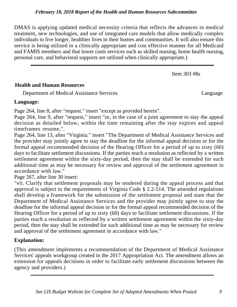DMAS is applying updated medical necessity criteria that reflects the advances in medical treatment, new technologies, and use of integrated care models that allow medically complex individuals to live longer, healthier lives in their homes and communities. It will also ensure this service is being utilized in a clinically appropriate and cost effective manner for all Medicaid and FAMIS members and that lower costs services such as skilled nursing, home health nursing, personal care, and behavioral supports are utilized when clinically appropriate.)

Item 303 #8s

## **Health and Human Resources**

Department of Medical Assistance Services Language

# **Language:**

Page 264, line 8, after "request." insert "except as provided herein".

Page 264, line 9, after "request," insert "or, in the case of a joint agreement to stay the appeal decision as detailed below, within the time remaining after the stay expires and appeal timeframes resume,".

Page 264, line 13, after "Virginia." insert "The Department of Medical Assistance Services and the provider may jointly agree to stay the deadline for the informal appeal decision or for the formal appeal recommended decision of the Hearing Officer for a period of up to sixty (60) days to facilitate settlement discussions. If the parties reach a resolution as reflected by a written settlement agreement within the sixty-day period, then the stay shall be extended for such additional time as may be necessary for review and approval of the settlement agreement in accordance with law."

Page 267, after line 30 insert:

"vii. Clarify that settlement proposals may be tendered during the appeal process and that approval is subject to the requirements of Virginia Code § 2.2-514. The amended regulations shall develop a framework for the submission of the settlement proposal and state that the Department of Medical Assistance Services and the provider may jointly agree to stay the deadline for the informal appeal decision or for the formal appeal recommended decision of the Hearing Officer for a period of up to sixty (60) days to facilitate settlement discussions. If the parties reach a resolution as reflected by a written settlement agreement within the sixty-day period, then the stay shall be extended for such additional time as may be necessary for review and approval of the settlement agreement in accordance with law."

# **Explanation:**

(This amendment implements a recommendation of the Department of Medical Assistance Services' appeals workgroup created in the 2017 Appropriation Act. The amendment allows an extension for appeals decisions in order to facilitate early settlement discussions between the agency and providers.)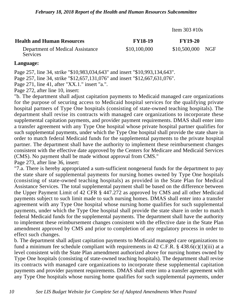Item 303 #10s

| <b>Health and Human Resources</b>                   | <b>FY18-19</b> | <b>FY19-20</b>   |  |
|-----------------------------------------------------|----------------|------------------|--|
| Department of Medical Assistance<br><b>Services</b> | \$10,100,000   | \$10,500,000 NGF |  |

#### **Language:**

Page 257, line 34, strike "\$10,983,034,643" and insert "\$10,993,134,643".

Page 257, line 34, strike "\$12,657,131,076" and insert "\$12,667,631,076".

Page 271, line 41, after "XX.1." insert "a.".

Page 272, after line 10, insert:

"b. The department shall adjust capitation payments to Medicaid managed care organizations for the purpose of securing access to Medicaid hospital services for the qualifying private hospital partners of Type One hospitals (consisting of state-owned teaching hospitals). The department shall revise its contracts with managed care organizations to incorporate these supplemental capitation payments, and provider payment requirements. DMAS shall enter into a transfer agreement with any Type One hospital whose private hospital partner qualifies for such supplemental payments, under which the Type One hospital shall provide the state share in order to match federal Medicaid funds for the supplemental payments to the private hospital partner. The department shall have the authority to implement these reimbursement changes consistent with the effective date approved by the Centers for Medicare and Medicaid Services (CMS). No payment shall be made without approval from CMS."

Page 273, after line 36, insert:

"7.a. There is hereby appropriated a sum-sufficient nongeneral funds for the department to pay the state share of supplemental payments for nursing homes owned by Type One hospitals (consisting of state-owned teaching hospitals) as provided in the State Plan for Medical Assistance Services. The total supplemental payment shall be based on the difference between the Upper Payment Limit of 42 CFR § 447.272 as approved by CMS and all other Medicaid payments subject to such limit made to such nursing homes. DMAS shall enter into a transfer agreement with any Type One hospital whose nursing home qualifies for such supplemental payments, under which the Type One hospital shall provide the state share in order to match federal Medicaid funds for the supplemental payments. The department shall have the authority to implement these reimbursement changes consistent with the effective date in the State Plan amendment approved by CMS and prior to completion of any regulatory process in order to effect such changes.

b. The department shall adjust capitation payments to Medicaid managed care organizations to fund a minimum fee schedule compliant with requirements in 42 C.F.R.  $\S$  438.6(c)(1)(iii) at a level consistent with the State Plan amendment authorized above for nursing homes owned by Type One hospitals (consisting of state-owned teaching hospitals). The department shall revise its contracts with managed care organizations to incorporate these supplemental capitation payments and provider payment requirements. DMAS shall enter into a transfer agreement with any Type One hospitals whose nursing home qualifies for such supplemental payments, under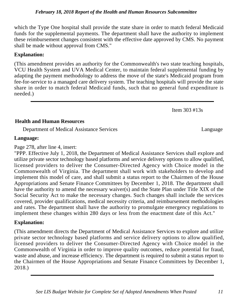which the Type One hospital shall provide the state share in order to match federal Medicaid funds for the supplemental payments. The department shall have the authority to implement these reimbursement changes consistent with the effective date approved by CMS. No payment shall be made without approval from CMS."

## **Explanation:**

(This amendment provides an authority for the Commonwealth's two state teaching hospitals, VCU Health System and UVA Medical Center, to maintain federal supplemental funding by adapting the payment methodology to address the move of the state's Medicaid program from fee-for-service to a managed care delivery system. The teaching hospitals will provide the state share in order to match federal Medicaid funds, such that no general fund expenditure is needed.)

Item 303 #13s

## **Health and Human Resources**

Department of Medical Assistance Services Language

## **Language:**

Page 278, after line 4, insert:

"PPP. Effective July 1, 2018, the Department of Medical Assistance Services shall explore and utilize private sector technology based platforms and service delivery options to allow qualified, licensed providers to deliver the Consumer-Directed Agency with Choice model in the Commonwealth of Virginia. The department shall work with stakeholders to develop and implement this model of care, and shall submit a status report to the Chairmen of the House Appropriations and Senate Finance Committees by December 1, 2018. The department shall have the authority to amend the necessary waiver(s) and the State Plan under Title XIX of the Social Security Act to make the necessary changes. Such changes shall include the services covered, provider qualifications, medical necessity criteria, and reimbursement methodologies and rates. The department shall have the authority to promulgate emergency regulations to implement these changes within 280 days or less from the enactment date of this Act."

# **Explanation:**

(This amendment directs the Department of Medical Assistance Services to explore and utilize private sector technology based platforms and service delivery options to allow qualified, licensed providers to deliver the Consumer-Directed Agency with Choice model in the Commonwealth of Virginia in order to improve quality outcomes, reduce potential for fraud, waste and abuse, and increase efficiency. The department is required to submit a status report to the Chairmen of the House Appropriations and Senate Finance Committees by December 1, 2018.)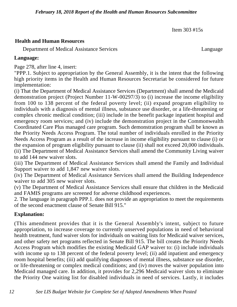Item 303 #15s

## **Health and Human Resources**

Department of Medical Assistance Services Language

**Language:**

Page 278, after line 4, insert:

"PPP.1. Subject to appropriation by the General Assembly, it is the intent that the following high priority items in the Health and Human Resources Secretariat be considered for future implementation:

(i) That the Department of Medical Assistance Services (Department) shall amend the Medicaid demonstration project (Project Number 11-W-00297/3) to (i) increase the income eligibility from 100 to 138 percent of the federal poverty level; (ii) expand program eligibility to individuals with a diagnosis of mental illness, substance use disorder, or a life-threatening or complex chronic medical condition; (iii) include in the benefit package inpatient hospital and emergency room services; and (iv) include the demonstration project in the Commonwealth Coordinated Care Plus managed care program. Such demonstration program shall be known as the Priority Needs Access Program. The total number of individuals enrolled in the Priority Needs Access Program as a result of the increase in income eligibility pursuant to clause (i) or the expansion of program eligibility pursuant to clause (ii) shall not exceed 20,000 individuals. (ii) The Department of Medical Assistance Services shall amend the Community Living waiver to add 144 new waiver slots.

(iii) The Department of Medical Assistance Services shall amend the Family and Individual Support waiver to add 1,847 new waiver slots.

(iv) The Department of Medical Assistance Services shall amend the Building Independence waiver to add 305 new waiver slots.

(v) The Department of Medical Assistance Services shall ensure that children in the Medicaid and FAMIS programs are screened for adverse childhood experiences.

2. The language in paragraph PPP.1. does not provide an appropriation to meet the requirements of the second enactment clause of Senate Bill 915."

## **Explanation:**

(This amendment provides that it is the General Assembly's intent, subject to future appropriation, to increase coverage to currently unserved populations in need of behavioral health treatment, fund waiver slots for individuals on waiting lists for Medicaid waiver services, and other safety net programs reflected in Senate Bill 915. The bill creates the Priority Needs Access Program which modifies the existing Medicaid GAP waiver to: (i) include individuals with income up to 138 percent of the federal poverty level; (ii) add inpatient and emergency room hospital benefits; (iii) add qualifying diagnoses of mental illness, substance use disorder, or life-threatening or complex medical conditions; and (iv) moves the waiver population into Medicaid managed care. In addition, it provides for 2,296 Medicaid waiver slots to eliminate the Priority One waiting list for disabled individuals in need of services. Lastly, it includes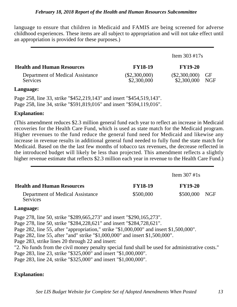language to ensure that children in Medicaid and FAMIS are being screened for adverse childhood experiences. These items are all subject to appropriation and will not take effect until an appropriation is provided for these purposes.)

|                                                     |                                | Item $303 \text{ #}17s$        |                         |
|-----------------------------------------------------|--------------------------------|--------------------------------|-------------------------|
| <b>Health and Human Resources</b>                   | <b>FY18-19</b>                 | <b>FY19-20</b>                 |                         |
| Department of Medical Assistance<br><b>Services</b> | $(\$2,300,000)$<br>\$2,300,000 | $(\$2,300,000)$<br>\$2,300,000 | <b>GF</b><br><b>NGF</b> |

## **Language:**

Page 258, line 33, strike "\$452,219,143" and insert "\$454,519,143". Page 258, line 34, strike "\$591,819,016" and insert "\$594,119,016".

## **Explanation:**

(This amendment reduces \$2.3 million general fund each year to reflect an increase in Medicaid recoveries for the Health Care Fund, which is used as state match for the Medicaid program. Higher revenues to the fund reduce the general fund need for Medicaid and likewise any increase in revenue results in additional general fund needed to fully fund the state match for Medicaid. Based on the the last few months of tobacco tax revenues, the decrease reflected in the introduced budget will likely be less than projected. This amendment reflects a slightly higher revenue estimate that reflects \$2.3 million each year in revenue to the Health Care Fund.)

|                                                     |                | Item $307 \text{ #1s}$ |  |
|-----------------------------------------------------|----------------|------------------------|--|
| <b>Health and Human Resources</b>                   | <b>FY18-19</b> | <b>FY19-20</b>         |  |
| Department of Medical Assistance<br><b>Services</b> | \$500,000      | \$500,000 NGF          |  |

## **Language:**

Page 278, line 50, strike "\$289,665,273" and insert "\$290,165,273". Page 278, line 50, strike "\$284,228,621" and insert "\$284,728,621". Page 282, line 55, after "appropriation," strike "\$1,000,000" and insert \$1,500,000". Page 282, line 55, after "and" strike "\$1,000,000" and insert \$1,500,000". Page 283, strike lines 20 through 22 and insert: "2. No funds from the civil money penalty special fund shall be used for administrative costs." Page 283, line 23, strike "\$325,000" and insert "\$1,000,000". Page 283, line 24, strike "\$325,000" and insert "\$1,000,000".

## **Explanation:**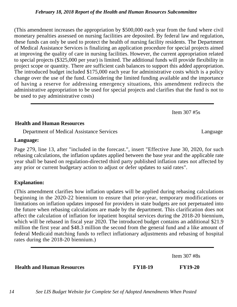(This amendment increases the appropriation by \$500,000 each year from the fund where civil monetary penalties assessed on nursing facilities are deposited. By federal law and regulation, these funds can only be used to protect the health of nursing facility residents. The Department of Medical Assistance Services is finalizing an application procedure for special projects aimed at improving the quality of care in nursing facilities. However, the current appropriation related to special projects (\$325,000 per year) is limited. The additional funds will provide flexibility in project scope or quantity. There are sufficient cash balances to support this added appropriation. The introduced budget included \$175,000 each year for administrative costs which is a policy change over the use of the fund. Considering the limited funding available and the importance of having a reserve for addressing emergency situations, this amendment redirects the administrative appropriation to be used for special projects and clarifies that the fund is not to be used to pay administrative costs)

Item 307 #5s

## **Health and Human Resources**

Department of Medical Assistance Services Language

## **Language:**

Page 279, line 13, after "included in the forecast.", insert "Effective June 30, 2020, for such rebasing calculations, the inflation updates applied between the base year and the applicable rate year shall be based on regulation-directed third party published inflation rates not affected by any prior or current budgetary action to adjust or defer updates to said rates".

## **Explanation:**

(This amendment clarifies how inflation updates will be applied during rebasing calculations beginning in the 2020-22 biennium to ensure that prior-year, temporary modifications or limitations on inflation updates imposed for providers in state budgets are not perpetuated into the future when rebasing calculations are made by the department. This clarification does not affect the calculation of inflation for inpatient hospital services during the 2018-20 biennium, which will be rebased in fiscal year 2020. The introduced budget contains an additional \$21.9 million the first year and \$48.3 million the second from the general fund and a like amount of federal Medicaid matching funds to reflect inflationary adjustments and rebasing of hospital rates during the 2018-20 biennium.)

Item 307 #8s

**Health and Human Resources FY18-19 FY19-20**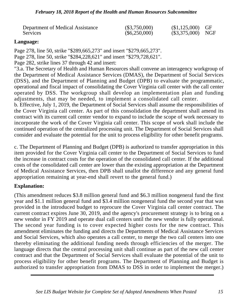| Department of Medical Assistance | $(\$3,750,000)$ | $($1,125,000)$ GF  |  |
|----------------------------------|-----------------|--------------------|--|
| Services                         | $(\$6,250,000)$ | $($3,375,000)$ NGF |  |

## **Language:**

Page 278, line 50, strike "\$289,665,273" and insert "\$279,665,273". Page 278, line 50, strike "\$284,228,621" and insert "\$279,728,621".

Page 282, strike lines 37 through 42 and insert:

"3.a. The Secretary of Health and Human Resources shall convene an interagency workgroup of the Department of Medical Assistance Services (DMAS), the Department of Social Services (DSS), and the Department of Planning and Budget (DPB) to evaluate the programmatic, operational and fiscal impact of consolidating the Cover Virginia call center with the call center operated by DSS. The workgroup shall develop an implementation plan and funding adjustments, that may be needed, to implement a consolidated call center.

b. Effective, July 1, 2019, the Department of Social Services shall assume the responsibilities of the Cover Virginia call center. As part of this consolidation the department shall amend its contract with its current call center vendor to expand to include the scope of work necessary to incorporate the work of the Cover Virginia call center. This scope of work shall include the continued operation of the centralized processing unit. The Department of Social Services shall consider and evaluate the potential for the unit to process eligibility for other benefit programs.

c. The Department of Planning and Budget (DPB) is authorized to transfer appropriation in this item provided for the Cover Virginia call center to the Department of Social Services to fund the increase in contract costs for the operation of the consolidated call center. If the additional costs of the consolidated call center are lower than the existing appropriation at the Department of Medical Assistance Services, then DPB shall unallot the difference and any general fund appropriation remaining at year-end shall revert to the general fund.)

## **Explanation:**

(This amendment reduces \$3.8 million general fund and \$6.3 million nongeneral fund the first year and \$1.1 million general fund and \$3.4 million nongeneral fund the second year that was provided in the introduced budget to reprocure the Cover Virginia call center contract. The current contract expires June 30, 2019, and the agency's procurement strategy is to bring on a new vendor in FY 2019 and operate dual call centers until the new vendor is fully operational. The second year funding is to cover expected higher costs for the new contract. This amendment eliminates the funding and directs the Departments of Medical Assistance Services and Social Services, which also operates a call center, to merge the two call centers into one thereby eliminating the additional funding needs through efficiencies of the merger. The language directs that the central processing unit shall continue as part of the new call center contract and that the Department of Social Services shall evaluate the potential of the unit to process eligibility for other benefit programs. The Department of Planning and Budget is authorized to transfer appropriation from DMAS to DSS in order to implement the merger.)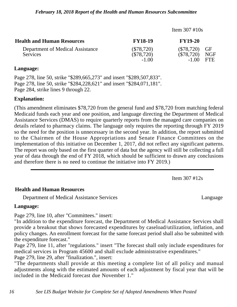|                                                     | Item $307 \text{ #}10s$                 |                                         |                                           |
|-----------------------------------------------------|-----------------------------------------|-----------------------------------------|-------------------------------------------|
| <b>Health and Human Resources</b>                   | <b>FY18-19</b>                          | <b>FY19-20</b>                          |                                           |
| Department of Medical Assistance<br><b>Services</b> | $(\$78,720)$<br>$(\$78,720)$<br>$-1.00$ | $(\$78,720)$<br>$(\$78,720)$<br>$-1.00$ | $\operatorname{GF}$<br><b>NGF</b><br>FTE. |

#### **Language:**

Page 278, line 50, strike "\$289,665,273" and insert "\$289,507,833". Page 278, line 50, strike "\$284,228,621" and insert "\$284,071,181". Page 284, strike lines 9 through 22.

#### **Explanation:**

(This amendment eliminates \$78,720 from the general fund and \$78,720 from matching federal Medicaid funds each year and one position, and language directing the Department of Medical Assistance Services (DMAS) to require quarterly reports from the managed care companies on details related to pharmacy claims. The language only requires the reporting through FY 2019 so the need for the position is unnecessary in the second year. In addition, the report submitted to the Chairmen of the House Appropriations and Senate Finance Committees on the implementation of this initiative on December 1, 2017, did not reflect any significant patterns. The report was only based on the first quarter of data but the agency will still be collecting a full year of data through the end of FY 2018, which should be sufficient to drawn any conclusions and therefore there is no need to continue the initiative into FY 2019.)

Item  $307 \text{ #}12s$ 

#### **Health and Human Resources**

Department of Medical Assistance Services Language

#### **Language:**

Page 279, line 10, after "Committees." insert:

"In addition to the expenditure forecast, the Department of Medical Assistance Services shall provide a breakout that shows forecasted expenditures by caseload/utilization, inflation, and policy changes. An enrollment forecast for the same forecast period shall also be submitted with the expenditure forecast."

Page 279, line 11, after "regulations." insert "The forecast shall only include expenditures for medical services in Program 45600 and shall exclude administrative expenditures."

Page 279, line 29, after "finalization.", insert:

"The departments shall provide at this meeting a complete list of all policy and manual adjustments along with the estimated amounts of each adjustment by fiscal year that will be included in the Medicaid forecast due November 1."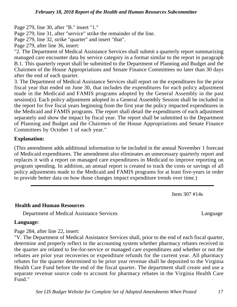Page 279, line 30, after "B." insert "1."

Page 279, line 31, after "service" strike the remainder of the line.

Page 279, line 32, strike "quarter" and insert "that".

Page 279, after line 36, insert:

"2. The Department of Medical Assistance Services shall submit a quarterly report summarizing managed care encounter data by service category in a format similar to the report in paragraph B.1. This quarterly report shall be submitted to the Department of Planning and Budget and the Chairmen of the House Appropriations and Senate Finance Committees no later than 30 days after the end of each quarter.

3. The Department of Medical Assistance Services shall report on the expenditures for the prior fiscal year that ended on June 30, that includes the expenditures for each policy adjustment made in the Medicaid and FAMIS programs adopted by the General Assembly in the past session(s). Each policy adjustment adopted in a General Assembly Session shall be included in the report for five fiscal years beginning from the first year the policy impacted expenditures in the Medicaid and FAMIS programs. The report shall detail the expenditures of each adjustment separately and show the impact by fiscal year. The report shall be submitted to the Department of Planning and Budget and the Chairmen of the House Appropriations and Senate Finance Committees by October 1 of each year."

## **Explanation:**

(This amendment adds additional information to be included in the annual November 1 forecast of Medicaid expenditures. The amendment also eliminates an unnecessary quarterly report and replaces it with a report on managed care expenditures in Medicaid to improve reporting on program spending. In addition, an annual report is created to track the costs or savings of all policy adjustments made to the Medicaid and FAMIS programs for at least five-years in order to provide better data on how those changes impact expenditure trends over time.)

Item 307 #14s

## **Health and Human Resources**

Department of Medical Assistance Services Language

## **Language:**

Page 284, after line 22, insert:

"V. The Department of Medical Assistance Services shall, prior to the end of each fiscal quarter, determine and properly reflect in the accounting system whether pharmacy rebates received in the quarter are related to fee-for-service or managed care expenditures and whether or not the rebates are prior year recoveries or expenditure refunds for the current year. All pharmacy rebates for the quarter determined to be prior year revenue shall be deposited to the Virginia Health Care Fund before the end of the fiscal quarter. The department shall create and use a separate revenue source code to account for pharmacy rebates in the Virginia Health Care Fund."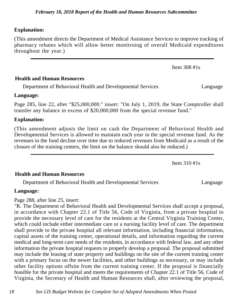#### **Explanation:**

(This amendment directs the Department of Medical Assistance Services to improve tracking of pharmacy rebates which will allow better monitroing of overall Medicaid expenditures throughout the year.)

**Health and Human Resources**

Department of Behavioral Health and Developmental Services Language

#### **Language:**

Page 285, line 22, after "\$25,000,000." insert: "On July 1, 2019, the State Comptroller shall transfer any balance in excess of \$20,000,000 from the special revenue fund."

#### **Explanation:**

(This amendment adjusts the limit on cash the Department of Behavioral Health and Developmental Services is allowed to maintain each year in the special revenue fund. As the revenues to the fund decline over time due to reduced revenues from Medicaid as a result of the closure of the training centers, the limit on the balance should also be reduced.)

Item 310 #1s

#### **Health and Human Resources**

Department of Behavioral Health and Developmental Services Language

#### **Language:**

Page 288, after line 25, insert:

"R. The Department of Behavioral Health and Developmental Services shall accept a proposal, in accordance with Chapter 22.1 of Title 56, Code of Virginia, from a private hospital to provide the necessary level of care for the residents at the Central Virginia Training Center, which could include either intermediate care or a nursing facility level of care. The department shall provide to the private hospital all relevant information, including financial information, capital assets of the training center, operational details, and information regarding the current medical and long-term care needs of the residents, in accordance with federal law, and any other information the private hospital requests to properly develop a proposal. The proposal submitted may include the leasing of state property and buildings on the site of the current training center with a primary focus on the newer facilities, and other buildings as necessary, or may include other facility options offsite from the current training center. If the proposal is financially feasible for the private hospital and meets the requirements of Chapter 22.1 of Title 56, Code of Virginia, the Secretary of Health and Human Resources shall, after reviewing the proposal,

Item 308 #1s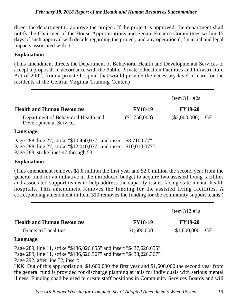#### *February 18, 2018 Report of the Health and Human Resources Subcommittee*

direct the department to approve the project. If the project is approved, the department shall notify the Chairmen of the House Appropriations and Senate Finance Committees within 15 days of such approval with details regarding the project, and any operational, financial and legal impacts associated with it."

## **Explanation:**

(This amendment directs the Department of Behavioral Health and Developmental Services to accept a proposal, in accordance with the Public-Private Education Facilities and Infrastructure Act of 2002, from a private hospital that would provide the necessary level of care for the residents at the Central Virginia Training Center.)

|                                                                                                                                                                                    |                | Item $311 \text{ #2s}$ |    |
|------------------------------------------------------------------------------------------------------------------------------------------------------------------------------------|----------------|------------------------|----|
| <b>Health and Human Resources</b>                                                                                                                                                  | <b>FY18-19</b> | <b>FY19-20</b>         |    |
| Department of Behavioral Health and<br><b>Developmental Services</b>                                                                                                               | (\$1,750,000)  | $(\$2,000,000)$        | GF |
| Language:                                                                                                                                                                          |                |                        |    |
| Page 288, line 27, strike "\$10,460,077" and insert "\$8,710,077".<br>Page 288, line 27, strike "\$12,010,077" and insert "\$10,010,077".<br>Page 288, strike lines 47 through 53. |                |                        |    |

## **Explanation:**

(This amendment removes \$1.8 million the first year and \$2.0 million the second year from the general fund for an initiative in the introduced budget to acquire two assisted living facilities and associated support teams to help address the capacity issues facing state mental health hospitals. This amendment removes the funding for the assisted living facilities. A corresponding amendment in Item 310 removes the funding for the community support teams.)

|                                   |                | Item $312 \text{ #}1s$ |  |
|-----------------------------------|----------------|------------------------|--|
| <b>Health and Human Resources</b> | <b>FY18-19</b> | <b>FY19-20</b>         |  |
| <b>Grants to Localities</b>       | \$1,600,000    | $$1,600,000$ GF        |  |
|                                   |                |                        |  |

## **Language:**

Page 289, line 11, strike "\$436,026,655" and insert "\$437,626,655". Page 289, line 11, strike "\$436,626,367" and insert "\$438,226,367".

Page 292, after line 52, insert:

"KK. Out of this appropriation, \$1,600,000 the first year and \$1,600,000 the second year from the general fund is provided for discharge planning at jails for individuals with serious mental illness. Funding shall be used to create staff positions in Community Services Boards and will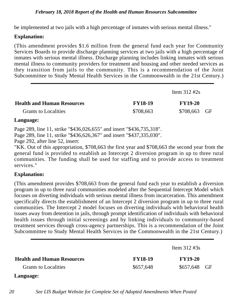#### *February 18, 2018 Report of the Health and Human Resources Subcommittee*

be implemented at two jails with a high percentage of inmates with serious mental illness."

#### **Explanation:**

(This amendment provides \$1.6 million from the general fund each year for Community Services Boards to provide discharge planning services at two jails with a high percentage of inmates with serious mental illness. Discharge planning includes linking inmates with serious mental illness to community providers for treatment and housing and other needed services as they transition from jails to the community. This is a recommendation of the Joint Subcommittee to Study Mental Health Services in the Commonwealth in the 21st Century.)

|                                   |                | Item $312 \text{ #2s}$ |  |
|-----------------------------------|----------------|------------------------|--|
| <b>Health and Human Resources</b> | <b>FY18-19</b> | $FY19-20$              |  |
| <b>Grants to Localities</b>       | \$708,663      | \$708,663 GF           |  |

#### **Language:**

Page 289, line 11, strike "\$436,026,655" and insert "\$436,735,318".

Page 289, line 11, strike "\$436,626,367" and insert "\$437,335,030".

Page 292, after line 52, insert:

"KK. Out of this appropriation, \$708,663 the first year and \$708,663 the second year from the general fund is provided to establish an Intercept 2 diversion program in up to three rural communities. The funding shall be used for staffing and to provide access to treatment services."

## **Explanation:**

(This amendment provides \$708,663 from the general fund each year to establish a diversion program in up to three rural communities modeled after the Sequential Intercept Model which focuses on diverting individuals with serious mental illness from incarceration. This amendment specifically directs the establishment of an Intercept 2 diversion program in up to three rural communities. The Intercept 2 model focuses on diverting individuals with behavioral health issues away from detention in jails, through prompt identification of individuals with behavioral health issues through initial screenings and by linking individuals to community-based treatment services through cross-agency partnerships. This is a recommendation of the Joint Subcommittee to Study Mental Health Services in the Commonwealth in the 21st Century.)

|                                   |                | Item $312 \text{ #3s}$ |  |
|-----------------------------------|----------------|------------------------|--|
| <b>Health and Human Resources</b> | <b>FY18-19</b> | <b>FY19-20</b>         |  |
| <b>Grants to Localities</b>       | \$657,648      | \$657,648 GF           |  |

#### **Language:**

*20 See LIS Budget Website for Complete Set of Adopted Amendments When Posted*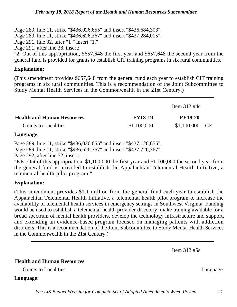Page 289, line 11, strike "\$436,026,655" and insert "\$436,684,303". Page 289, line 11, strike "\$436,626,367" and insert "\$437,284,015". Page 291, line 32, after "T." insert "1." Page 291, after line 38, insert: "2. Out of this appropriation, \$657,648 the first year and \$657,648 the second year from the general fund is provided for grants to establish CIT training programs in six rural communities."

#### **Explanation:**

(This amendment provides \$657,648 from the general fund each year to establish CIT training programs in six rural communities. This is a recommendation of the Joint Subcommittee to Study Mental Health Services in the Commonwealth in the 21st Century.)

|                                   |                | Item $312 \text{ #4s}$ |  |
|-----------------------------------|----------------|------------------------|--|
| <b>Health and Human Resources</b> | <b>FY18-19</b> | <b>FY19-20</b>         |  |
| <b>Grants to Localities</b>       | \$1,100,000    | $$1,100,000$ GF        |  |

#### **Language:**

Page 289, line 11, strike "\$436,026,655" and insert "\$437,126,655".

Page 289, line 11, strike "\$436,626,367" and insert "\$437,726,367".

Page 292, after line 52, insert:

"KK. Out of this appropriation, \$1,100,000 the first year and \$1,100,000 the second year from the general fund is provided to establish the Appalachian Telemental Health Initiative, a telemental health pilot program."

## **Explanation:**

(This amendment provides \$1.1 million from the general fund each year to establish the Appalachian Telemental Health Initiative, a telemental health pilot program to increase the availability of telemental health services in emergency settings in Southwest Virginia. Funding would be used to establish a telemental health provider directory, make training available for a broad spectrum of mental health providers, develop the technology infrastructure and support, and extending an evidence-based program focused on managing patients with addiction disorders. This is a recommendation of the Joint Subcommittee to Study Mental Health Services in the Commonwealth in the 21st Century.)

Item 312 #5s

## **Health and Human Resources**

Grants to Localities Language Language Language Language Language Language Language Language Language Language

**Language:**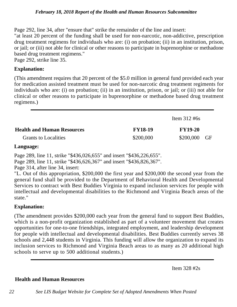#### *February 18, 2018 Report of the Health and Human Resources Subcommittee*

Page 292, line 34, after "ensure that" strike the remainder of the line and insert: "at least 20 percent of the funding shall be used for non-narcotic, non-addictive, prescription drug treatment regimens for individuals who are: (i) on probation; (ii) in an institution, prison, or jail; or (iii) not able for clinical or other reasons to participate in buprenorphine or methadone based drug treatment regimens." Page 292, strike line 35.

**Explanation:**

(This amendment requires that 20 percent of the \$5.0 million in general fund provided each year for medication assisted treatment must be used for non-narcotic drug treatment regiments for individuals who are: (i) on probation; (ii) in an institution, prison, or jail; or (iii) not able for clinical or other reasons to participate in buprenorphine or methadone based drug treatment regimens.)

|                                   |                | Item $312 \text{ #6s}$ |      |
|-----------------------------------|----------------|------------------------|------|
| <b>Health and Human Resources</b> | <b>FY18-19</b> | <b>FY19-20</b>         |      |
| <b>Grants to Localities</b>       | \$200,000      | \$200,000              | - GF |

## **Language:**

Page 289, line 11, strike "\$436,026,655" and insert "\$436,226,655".

Page 289, line 11, strike "\$436,626,367" and insert "\$436,826,367".

Page 314, after line 34, insert:

"L. Out of this appropriation, \$200,000 the first year and \$200,000 the second year from the general fund shall be provided to the Department of Behavioral Health and Developmental Services to contract with Best Buddies Virginia to expand inclusion services for people with intellectual and developmental disabilities to the Richmond and Virginia Beach areas of the state."

## **Explanation:**

(The amendment provides \$200,000 each year from the general fund to support Best Buddies, which is a non-profit organization established as part of a volunteer movement that creates opportunities for one-to-one friendships, integrated employment, and leadership development for people with intellectual and developmental disabilities. Best Buddies currently serves 38 schools and 2,448 students in Virginia. This funding will allow the organization to expand its inclusion services to Richmond and Virginia Beach areas to as many as 20 additional high schools to serve up to 500 additional students.)

Item 328 #2s

## **Health and Human Resources**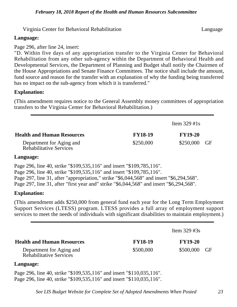Virginia Center for Behavioral Rehabilitation Language

#### **Language:**

Page 296, after line 24, insert:

"D. Within five days of any appropriation transfer to the Virginia Center for Behavioral Rehabilitation from any other sub-agency within the Department of Behavioral Health and Developmental Services, the Department of Planning and Budget shall notify the Chairmen of the House Appropriations and Senate Finance Committees. The notice shall include the amount, fund source and reason for the transfer with an explanation of why the funding being transferred has no impact on the sub-agency from which it is transferred."

#### **Explanation:**

(This amendment requires notice to the General Assembly money committees of appropriation transfers to the Virginia Center for Behavioral Rehabilitation.)

|                                                            |                | Item $329$ #1s |      |
|------------------------------------------------------------|----------------|----------------|------|
| <b>Health and Human Resources</b>                          | <b>FY18-19</b> | <b>FY19-20</b> |      |
| Department for Aging and<br><b>Rehabilitative Services</b> | \$250,000      | \$250,000      | - GF |

#### **Language:**

Page 296, line 40, strike "\$109,535,116" and insert "\$109,785,116". Page 296, line 40, strike "\$109,535,116" and insert "\$109,785,116". Page 297, line 31, after "appropriation," strike "\$6,044,568" and insert "\$6,294,568". Page 297, line 31, after "first year and" strike "\$6,044,568" and insert "\$6,294,568".

## **Explanation:**

(This amendment adds \$250,000 from general fund each year for the Long Term Employment Support Services (LTESS) program. LTESS provides a full array of employment support services to meet the needs of individuals with significant disabilities to maintain employment.)

|                                                            |                | Item $329 \#3s$ |      |  |
|------------------------------------------------------------|----------------|-----------------|------|--|
| <b>Health and Human Resources</b>                          | <b>FY18-19</b> | <b>FY19-20</b>  |      |  |
| Department for Aging and<br><b>Rehabilitative Services</b> | \$500,000      | \$500,000       | - GF |  |

#### **Language:**

Page 296, line 40, strike "\$109,535,116" and insert "\$110,035,116". Page 296, line 40, strike "\$109,535,116" and insert "\$110,035,116".

*See LIS Budget Website for Complete Set of Adopted Amendments When Posted 23*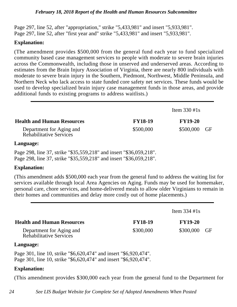Page 297, line 52, after "appropriation," strike "5,433,981" and insert "5,933,981". Page 297, line 52, after "first year and" strike "5,433,981" and insert "5,933,981".

#### **Explanation:**

(The amendment provides \$500,000 from the general fund each year to fund specialized community based case management services to people with moderate to severe brain injuries across the Commonwealth, including those in unserved and underserved areas. According to estimates from the Brain Injury Association of Virginia, there are nearly 800 individuals with moderate to severe brain injury in the Southern, Piedmont, Northwest, Middle Peninsula, and Northern Neck who lack access to state funded core safety net services. These funds would be used to develop specialized brain injury case management funds in those areas, and provide additional funds to existing programs to address waitlists.)

|                                                            |                | Item $330 \text{ #1s}$ |      |
|------------------------------------------------------------|----------------|------------------------|------|
| <b>Health and Human Resources</b>                          | <b>FY18-19</b> | <b>FY19-20</b>         |      |
| Department for Aging and<br><b>Rehabilitative Services</b> | \$500,000      | \$500,000              | - GF |

#### **Language:**

Page 298, line 37, strike "\$35,559,218" and insert "\$36,059,218". Page 298, line 37, strike "\$35,559,218" and insert "\$36,059,218".

## **Explanation:**

(This amendment adds \$500,000 each year from the general fund to address the waiting list for services available through local Area Agencies on Aging. Funds may be used for homemaker, personal care, chore services, and home-delivered meals to allow older Virginians to remain in their homes and communities and delay more costly out of home placements.)

|                                                            | Item $334 \text{ #1s}$ |                |      |
|------------------------------------------------------------|------------------------|----------------|------|
| <b>Health and Human Resources</b>                          | <b>FY18-19</b>         | <b>FY19-20</b> |      |
| Department for Aging and<br><b>Rehabilitative Services</b> | \$300,000              | \$300,000      | - GF |

#### **Language:**

Page 301, line 10, strike "\$6,620,474" and insert "\$6,920,474". Page 301, line 10, strike "\$6,620,474" and insert "\$6,920,474".

## **Explanation:**

(This amendment provides \$300,000 each year from the general fund to the Department for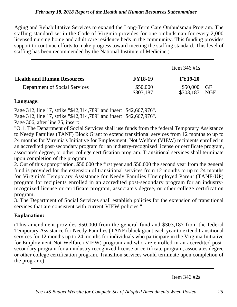Aging and Rehabilitative Services to expand the Long-Term Care Ombudsman Program. The staffing standard set in the Code of Virginia provides for one ombudsman for every 2,000 licensed nursing home and adult care residence beds in the community. This funding provides support to continue efforts to make progress toward meeting the staffing standard. This level of staffing has been recommended by the National Institute of Medicine.)

|                                   | Item $346 \text{ #}1s$ |                       |                  |
|-----------------------------------|------------------------|-----------------------|------------------|
| <b>Health and Human Resources</b> | <b>FY18-19</b>         | <b>FY19-20</b>        |                  |
| Department of Social Services     | \$50,000<br>\$303,187  | \$50,000<br>\$303.187 | GF<br><b>NGF</b> |

# **Language:**

Page 312, line 17, strike "\$42,314,789" and insert "\$42,667,976".

Page 312, line 17, strike "\$42,314,789" and insert "\$42,667,976".

Page 306, after line 25, insert:

"O.1. The Department of Social Services shall use funds from the federal Temporary Assistance to Needy Families (TANF) Block Grant to extend transitional services from 12 months to up to 24 months for Virginia's Initiative for Employment, Not Welfare (VIEW) recipients enrolled in an accredited post-secondary program for an industry-recognized license or certificate program, associate's degree, or other college certification program. Transitional services shall terminate upon completion of the program.

2. Out of this appropriation, \$50,000 the first year and \$50,000 the second year from the general fund is provided for the extension of transitional services from 12 months to up to 24 months for Virginia's Temporary Assistance for Needy Families Unemployed Parent (TANF-UP) program for recipients enrolled in an accredited post-secondary program for an industryrecognized license or certificate program, associate's degree, or other college certification program.

3. The Department of Social Services shall establish policies for the extension of transitional services that are consistent with current VIEW policies."

# **Explanation:**

(This amendment provides \$50,000 from the general fund and \$303,187 from the federal Temporary Assistance for Needy Families (TANF) block grant each year to extend transitional services for 12 months up to 24 months for individuals who participate in the Virginia Initiative for Employment Not Welfare (VIEW) program and who are enrolled in an accredited postsecondary program for an industry recognized license or certificate program, associates degree or other college certification program. Transition services would terminate upon completion of the program.)

Item 346 #2s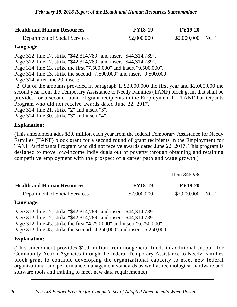| <b>Health and Human Resources</b> | <b>FY18-19</b> | <b>FY19-20</b>  |  |
|-----------------------------------|----------------|-----------------|--|
| Department of Social Services     | \$2,000,000    | \$2,000,000 NGF |  |

## **Language:**

Page 312, line 17, strike "\$42,314,789" and insert "\$44,314,789".

Page 312, line 17, strike "\$42,314,789" and insert "\$44,314,789".

Page 314, line 13, strike the first "7,500,000" and insert "9,500,000".

Page 314, line 13, strike the second "7,500,000" and insert "9,500,000".

Page 314, after line 20, insert:

"2. Out of the amounts provided in paragraph 1, \$2,000,000 the first year and \$2,000,000 the second year from the Temporary Assistance to Needy Families (TANF) block grant that shall be provided for a second round of grant recipients in the Employment for TANF Participants Program who did not receive awards dated June 22, 2017."

Page 314, line 21, strike "2" and insert "3".

Page 314, line 30, strike "3" and insert "4".

## **Explanation:**

(This amendment adds \$2.0 million each year from the federal Temporary Assistance for Needy Families (TANF) block grant for a second round of grant recipients in the Employment for TANF Participants Program who did not receive awards dated June 22, 2017. This program is designed to move low-income individuals out of poverty through obtaining and retaining competitive employment with the prospect of a career path and wage growth.)

|                                      |                | Item $346 \#3s$ |     |
|--------------------------------------|----------------|-----------------|-----|
| <b>Health and Human Resources</b>    | <b>FY18-19</b> | <b>FY19-20</b>  |     |
| <b>Department of Social Services</b> | \$2,000,000    | \$2,000,000     | NGF |

## **Language:**

Page 312, line 17, strike "\$42,314,789" and insert "\$44,314,789". Page 312, line 17, strike "\$42,314,789" and insert "\$44,314,789". Page 312, line 45, strike the first "4,250,000" and insert "6,250,000". Page 312, line 45, strike the second "4,250,000" and insert "6,250,000".

## **Explanation:**

(This amendment provides \$2.0 million from nongeneral funds in additional support for Community Action Agencies through the federal Temporary Assistance to Needy Families block grant to continue developing the organizational capacity to meet new federal organizational and performance management standards as well as technological hardware and software tools and training to meet new data requirements.)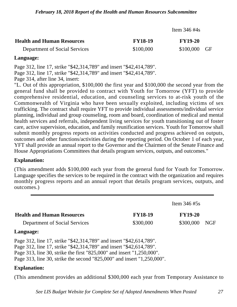|                                   | Item $346 \text{ #4s}$ |                |      |
|-----------------------------------|------------------------|----------------|------|
| <b>Health and Human Resources</b> | <b>FY18-19</b>         | <b>FY19-20</b> |      |
| Department of Social Services     | \$100,000              | \$100,000      | - GF |

#### **Language:**

Page 312, line 17, strike "\$42,314,789" and insert "\$42,414,789".

Page 312, line 17, strike "\$42,314,789" and insert "\$42,414,789".

Page 314, after line 34, insert:

"L. Out of this appropriation, \$100,000 the first year and \$100,000 the second year from the general fund shall be provided to contract with Youth for Tomorrow (YFT) to provide comprehensive residential, education, and counseling services to at-risk youth of the Commonwealth of Virginia who have been sexually exploited, including victims of sex trafficking. The contract shall require YFT to provide individual assessments/individual service planning, individual and group counseling, room and board, coordination of medical and mental health services and referrals, independent living services for youth transitioning out of foster care, active supervision, education, and family reunification services. Youth for Tomorrow shall submit monthly progress reports on activities conducted and progress achieved on outputs, outcomes and other functions/activities during the reporting period. On October 1 of each year, YFT shall provide an annual report to the Governor and the Chairmen of the Senate Finance and House Appropriations Committees that details program services, outputs, and outcomes."

## **Explanation:**

(This amendment adds \$100,000 each year from the general fund for Youth for Tomorrow. Language specifies the services to be required in the contract with the organization and requires monthly progress reports and an annual report that details program services, outputs, and outcomes.)

|                                   |                | Item $346 \#5s$ |            |
|-----------------------------------|----------------|-----------------|------------|
| <b>Health and Human Resources</b> | <b>FY18-19</b> | <b>FY19-20</b>  |            |
| Department of Social Services     | \$300,000      | \$300,000       | <b>NGF</b> |

## **Language:**

Page 312, line 17, strike "\$42,314,789" and insert "\$42,614,789". Page 312, line 17, strike "\$42,314,789" and insert "\$42,614,789". Page 313, line 30, strike the first "825,000" and insert "1,250,000".

Page 313, line 30, strike the second "825,000" and insert "1,250,000".

## **Explanation:**

(This amendment provides an additional \$300,000 each year from Temporary Assistance to

*See LIS Budget Website for Complete Set of Adopted Amendments When Posted 27*